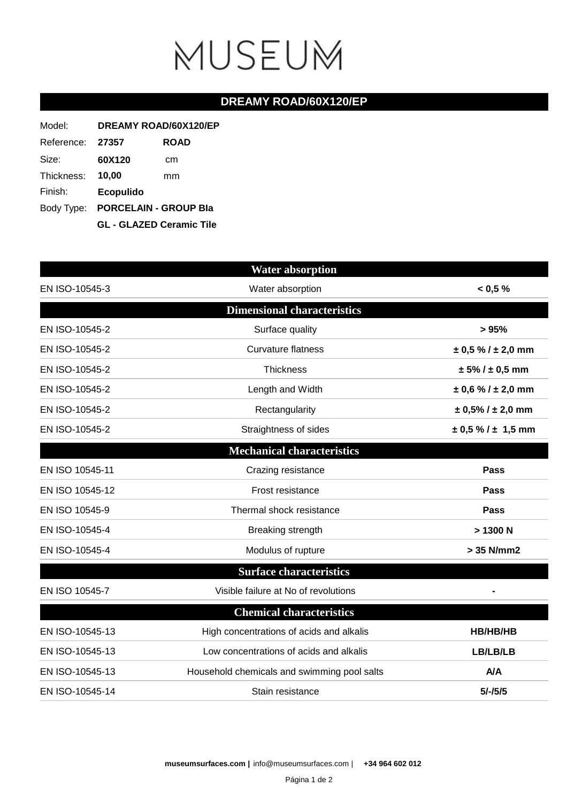## MUSEUM

## **DREAMY ROAD/60X120/EP**

| Model:     | DREAMY ROAD/60X120/EP                                               |             |  |
|------------|---------------------------------------------------------------------|-------------|--|
| Reference: | 27357                                                               | <b>ROAD</b> |  |
| Size:      | 60X120                                                              | cm          |  |
| Thickness: | 10.00                                                               | mm          |  |
| Finish:    | <b>Ecopulido</b>                                                    |             |  |
|            | Body Type: PORCELAIN - GROUP Bla<br><b>GL - GLAZED Ceramic Tile</b> |             |  |
|            |                                                                     |             |  |

|                 | <b>Water absorption</b>                     |                            |
|-----------------|---------------------------------------------|----------------------------|
| EN ISO-10545-3  | Water absorption                            | < 0.5 %                    |
|                 | <b>Dimensional characteristics</b>          |                            |
| EN ISO-10545-2  | Surface quality                             | > 95%                      |
| EN ISO-10545-2  | <b>Curvature flatness</b>                   | $\pm$ 0,5 % / $\pm$ 2,0 mm |
| EN ISO-10545-2  | <b>Thickness</b>                            | $± 5\% / ± 0.5$ mm         |
| EN ISO-10545-2  | Length and Width                            | $\pm$ 0,6 % / $\pm$ 2,0 mm |
| EN ISO-10545-2  | Rectangularity                              | $± 0,5\%$ / $± 2,0$ mm     |
| EN ISO-10545-2  | Straightness of sides                       | $\pm$ 0,5 % / $\pm$ 1,5 mm |
|                 | <b>Mechanical characteristics</b>           |                            |
| EN ISO 10545-11 | Crazing resistance                          | Pass                       |
| EN ISO 10545-12 | Frost resistance                            | Pass                       |
| EN ISO 10545-9  | Thermal shock resistance                    | Pass                       |
| EN ISO-10545-4  | Breaking strength                           | > 1300 N                   |
| EN ISO-10545-4  | Modulus of rupture                          | > 35 N/mm2                 |
|                 | <b>Surface characteristics</b>              |                            |
| EN ISO 10545-7  | Visible failure at No of revolutions        |                            |
|                 | <b>Chemical characteristics</b>             |                            |
| EN ISO-10545-13 | High concentrations of acids and alkalis    | HB/HB/HB                   |
| EN ISO-10545-13 | Low concentrations of acids and alkalis     | LB/LB/LB                   |
| EN ISO-10545-13 | Household chemicals and swimming pool salts | <b>A/A</b>                 |
| EN ISO-10545-14 | Stain resistance                            | $5/-/5/5$                  |